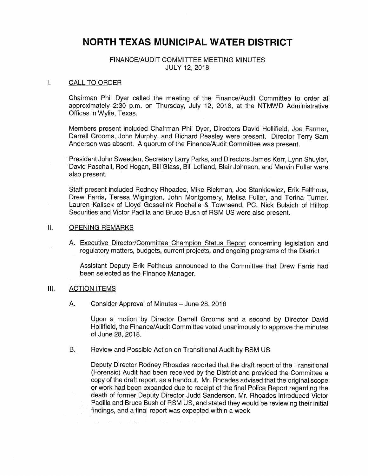# NORTH TEXAS MUNICIPAL WATER DISTRICT

## FINANCE/AUDIT COMMITTEE MEETING MINUTES JULY 12, 2018

#### $\mathbf{L}$ CALL TO ORDER

Chairman Phil Dyer called the meeting of the Finance/Audit Committee to order at approximately 2:30 p.m. on Thursday, July 12, 2018, at the NTMWD Administrative Offices in Wylie, Texas.

Members present included Chairman Phil Dyer, Directors David Hollifield, Joe Farmer, Darrell Grooms, John Murphy, and Richard Peasley were present. Director Terry Sam Anderson was absent. A quorum of the Finance/Audit Committee was present.

President John Sweeden, Secretary Larry Parks, and Directors James Kerr, Lynn Shuyler, David Paschall, Rod Hogan, Bill Glass, Bill Lofland, Blair Johnson, and Marvin Fuller were also present.

Staff present included Rodney Rhoades, Mike Rickman, Joe Stankiewicz, Erik Felthous, Drew Farris, Teresa Wigington, John Montgomery, Melisa Fuller, and Terina Turner. Lauren Kalisek of Lloyd Gosselink Rochelle & Townsend, PC, Nick Bulaich of Hilltop Securities and Victor Padilla and Bruce Bush of RSM US were also present.

#### II. OPENING REMARKS

A. Executive Director/Committee Champion Status Report concerning legislation and regulatory matters, budgets, current projects, and ongoing programs of the District

Assistant Deputy Erik Felthous announced to the Committee that Drew Farris had been selected as the Finance Manager.

### III. ACTION ITEMS

A. Consider Approval of Minutes— June 28, 2018

Upon a motion by Director Darrell Grooms and a second by Director David Hollifield, the Finance/Audit Committee voted unanimously to approve the minutes of June 28, 2018.

B. Review and Possible Action on Transitional Audit by RSM US

Deputy Director Rodney Rhoades reported that the draft report of the Transitional Forensic) Audit had been received by the District and provided the Committee a copy of the draft report, as a handout. Mr. Rhoades advised that the original scope or work had been expanded due to receipt of the final Police Report regarding the death of former Deputy Director Judd Sanderson. Mr. Rhoades introduced Victor Padilla and Bruce Bush of RSM US, and stated they would be reviewing their initial findings, and a final report was expected within a week.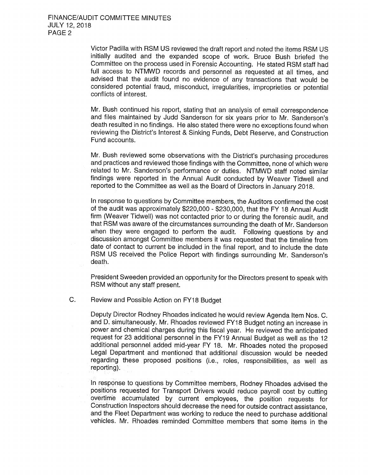Victor Padilla with RSM US reviewed the draft report and noted the items RSM US initially audited and the expanded scope of work. Bruce Bush briefed the Committee on the process used in Forensic Accounting. He stated RSM staff had full access to NTMWD records and personnel as requested at all times, and advised that the audit found no evidence of any transactions that would be considered potential fraud, misconduct, irregularities, improprieties or potential conflicts of interest.

Mr. Bush continued his report, stating that an analysis of email correspondence and files maintained by Judd Sanderson for six years prior to Mr. Sanderson's death resulted in no findings. He also stated there were no exceptions found when reviewing the District's Interest & Sinking Funds, Debt Reserve, and Construction Fund accounts.

Mr. Bush reviewed some observations with the District's purchasing procedures and practices and reviewed those findings with the Committee, none of which were related to Mr. Sanderson's performance or duties. NTMWD staff noted similar findings were reported in the Annual Audit conducted by Weaver Tidwell and reported to the Committee as well as the Board of Directors in January 2018.

In response to questions by Committee members, the Auditors confirmed the cost of the audit was approximately \$220,000 - \$230,000, that the FY 18 Annual Audit firm (Weaver Tidwell) was not contacted prior to or during the forensic audit, and that RSM was aware of the circumstances surrounding the death of Mr. Sanderson when they were engaged to perform the audit. Following questions by and discussion amongst Committee members it was requested that the timeline from date of contact to current be included in the final report, and to include the date RSM US received the Police Report with findings surrounding Mr. Sanderson's death.

President Sweeden provided an opportunity for the Directors present to speak with RSM without any staff present.

 $C<sub>r</sub>$ Review and Possible Action on FY18 Budget

> Deputy Director Rodney Rhoades indicated he would review Agenda Item Nos. C. and D. simultaneously. Mr. Rhoades reviewed FY18 Budget noting an increase in power and chemical charges during this fiscal year. He reviewed the anticipated request for 23 additional personnel in the FY19 Annual Budget as well as the 12 additional personnel added mid-year FY 18. Mr. Rhoades noted the proposed Legal Department and mentioned that additional discussion would be needed regarding these proposed positions (i.e., roles, responsibilities, as well as reporting).

> In response to questions by Committee members, Rodney Rhoades advised the positions requested for Transport Drivers would reduce payroll cost by cutting overtime accumulated by current employees, the position requests for Construction Inspectors should decrease the need for outside contract assistance, and the Fleet Department was working to reduce the need to purchase additional vehicles. Mr. Rhoades reminded Committee members that some items in the